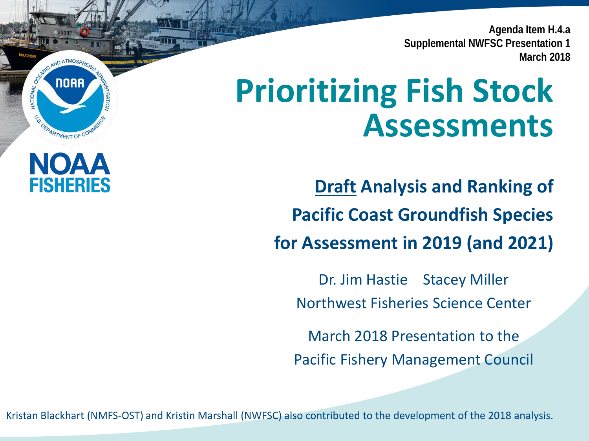**Agenda Item H.4.a Supplemental NWFSC Presentation 1 March 2018**

# **Prioritizing Fish Stock Assessments**

**Draft Analysis and Ranking of Pacific Coast Groundfish Species for Assessment in 2019 (and 2021)**

Dr. Jim Hastie Stacey Miller Northwest Fisheries Science Center

March 2018 Presentation to the Pacific Fishery Management Council

Kristan Blackhart (NMFS-OST) and Kristin Marshall (NWFSC) also contributed to the development of the 2018 analysis.

**NOAA** 

OFPARTMENT OF CO

NOAA

**FISHERIES** 

**NATIONAL**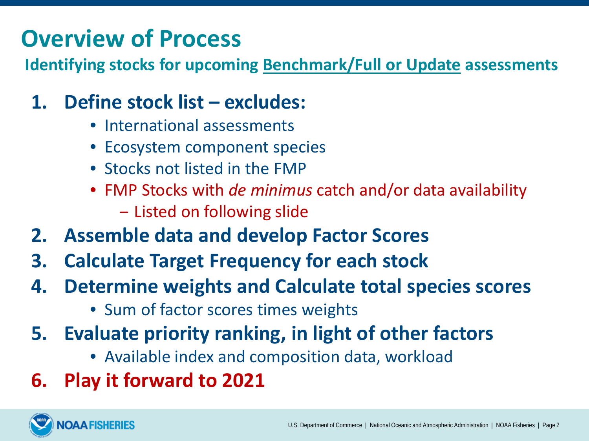### **Overview of Process**

**Identifying stocks for upcoming Benchmark/Full or Update assessments**

### **1. Define stock list – excludes:**

- International assessments
- Ecosystem component species
- Stocks not listed in the FMP
- FMP Stocks with *de minimus* catch and/or data availability
	- ‒ Listed on following slide
- **2. Assemble data and develop Factor Scores**
- **3. Calculate Target Frequency for each stock**
- **4. Determine weights and Calculate total species scores**
	- Sum of factor scores times weights
- **5. Evaluate priority ranking, in light of other factors**
	- Available index and composition data, workload
- **6. Play it forward to 2021**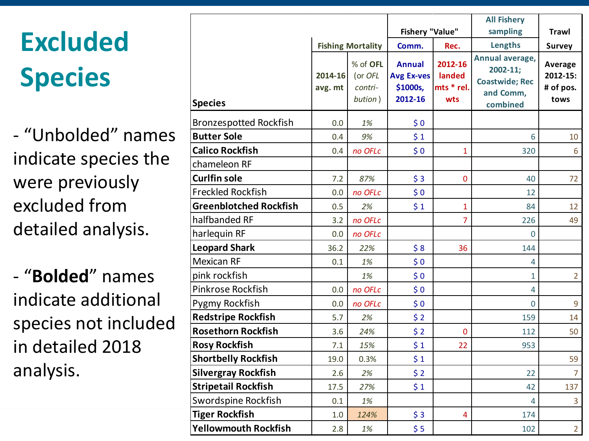# **Excluded Species**

- "Unbolded" names indicate species the were previously excluded from detailed analysis.

- "**Bolded**" names indicate additional species not included in detailed 2018 analysis.

|                               |                    |                                           |                                                           |                                        | <b>All Fishery</b>                                                                |                                          |
|-------------------------------|--------------------|-------------------------------------------|-----------------------------------------------------------|----------------------------------------|-----------------------------------------------------------------------------------|------------------------------------------|
|                               |                    |                                           | <b>Fishery "Value"</b>                                    |                                        | sampling                                                                          | <b>Trawl</b>                             |
|                               |                    | <b>Fishing Mortality</b>                  | Comm.                                                     | Rec.                                   | Lengths                                                                           | <b>Survey</b>                            |
| <b>Species</b>                | 2014-16<br>avg. mt | % of OFL<br>(or OFL<br>contri-<br>bution) | <b>Annual</b><br><b>Avg Ex-ves</b><br>\$1000s,<br>2012-16 | 2012-16<br>landed<br>mts * rel.<br>wts | Annual average,<br>$2002 - 11;$<br><b>Coastwide; Rec</b><br>and Comm,<br>combined | Average<br>2012-15:<br># of pos.<br>tows |
| <b>Bronzespotted Rockfish</b> | 0.0                | 1%                                        | \$0                                                       |                                        |                                                                                   |                                          |
| <b>Butter Sole</b>            | 0.4                | 9%                                        | \$1                                                       |                                        | 6                                                                                 | 10                                       |
| <b>Calico Rockfish</b>        | 0.4                | no OFLc                                   | \$0                                                       | $\mathbf{1}$                           | 320                                                                               | 6                                        |
| chameleon RF                  |                    |                                           |                                                           |                                        |                                                                                   |                                          |
| <b>Curlfin sole</b>           | 7.2                | 87%                                       | \$3                                                       | $\mathbf 0$                            | 40                                                                                | 72                                       |
| <b>Freckled Rockfish</b>      | 0.0                | no OFLc                                   | \$0                                                       |                                        | 12                                                                                |                                          |
| <b>Greenblotched Rockfish</b> | 0.5                | 2%                                        | \$1                                                       | $\mathbf{1}$                           | 84                                                                                | 12                                       |
| halfbanded RF                 | 3.2                | no OFLc                                   |                                                           | $\overline{7}$                         | 226                                                                               | 49                                       |
| harlequin RF                  | 0.0                | no OFLc                                   |                                                           |                                        | $\Omega$                                                                          |                                          |
| <b>Leopard Shark</b>          | 36.2               | 22%                                       | \$8                                                       | 36                                     | 144                                                                               |                                          |
| <b>Mexican RF</b>             | 0.1                | 1%                                        | \$0                                                       |                                        | 4                                                                                 |                                          |
| pink rockfish                 |                    | 1%                                        | \$0                                                       |                                        | $\mathbf{1}$                                                                      | $\overline{2}$                           |
| Pinkrose Rockfish             | 0.0                | no OFLc                                   | \$0                                                       |                                        | 4                                                                                 |                                          |
| Pygmy Rockfish                | 0.0                | no OFLc                                   | \$0                                                       |                                        | 0                                                                                 | 9                                        |
| <b>Redstripe Rockfish</b>     | 5.7                | 2%                                        | \$2                                                       |                                        | 159                                                                               | 14                                       |
| <b>Rosethorn Rockfish</b>     | 3.6                | 24%                                       | \$2                                                       | $\overline{0}$                         | 112                                                                               | 50                                       |
| <b>Rosy Rockfish</b>          | 7.1                | 15%                                       | \$1                                                       | 22                                     | 953                                                                               |                                          |
| <b>Shortbelly Rockfish</b>    | 19.0               | 0.3%                                      | \$1                                                       |                                        |                                                                                   | 59                                       |
| <b>Silvergray Rockfish</b>    | 2.6                | 2%                                        | \$2                                                       |                                        | 22                                                                                | $\overline{7}$                           |
| <b>Stripetail Rockfish</b>    | 17.5               | 27%                                       | \$1                                                       |                                        | 42                                                                                | 137                                      |
| <b>Swordspine Rockfish</b>    | 0.1                | 1%                                        |                                                           |                                        | 4                                                                                 | $\overline{3}$                           |
| <b>Tiger Rockfish</b>         | 1.0                | 124%                                      | \$3                                                       | 4                                      | 174                                                                               |                                          |
| <b>Yellowmouth Rockfish</b>   | 2.8                | 1%                                        | \$5                                                       |                                        | 102                                                                               | $\overline{2}$                           |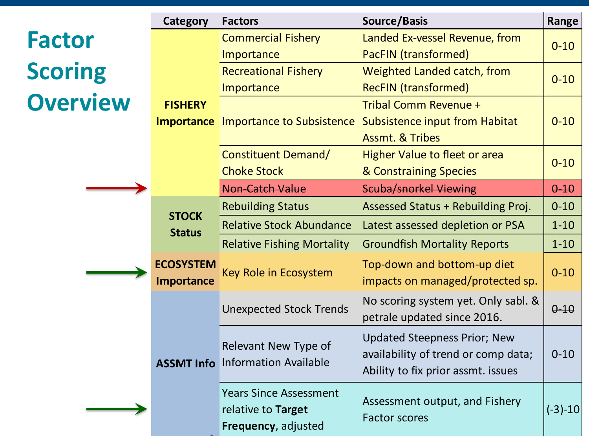|                 | <b>Category</b>                         | <b>Factors</b>                                                             | <b>Source/Basis</b>                                                                                              | Range     |
|-----------------|-----------------------------------------|----------------------------------------------------------------------------|------------------------------------------------------------------------------------------------------------------|-----------|
| <b>Factor</b>   |                                         | <b>Commercial Fishery</b>                                                  | Landed Ex-vessel Revenue, from                                                                                   | $0 - 10$  |
| <b>Scoring</b>  |                                         | Importance<br><b>Recreational Fishery</b>                                  | PacFIN (transformed)<br>Weighted Landed catch, from                                                              |           |
|                 |                                         | Importance                                                                 | <b>RecFIN (transformed)</b>                                                                                      | $0 - 10$  |
| <b>Overview</b> | <b>FISHERY</b>                          |                                                                            | Tribal Comm Revenue +                                                                                            |           |
|                 | <b>Importance</b>                       | Importance to Subsistence                                                  | <b>Subsistence input from Habitat</b>                                                                            | $0 - 10$  |
|                 |                                         |                                                                            | <b>Assmt. &amp; Tribes</b>                                                                                       |           |
|                 |                                         | <b>Constituent Demand/</b>                                                 | <b>Higher Value to fleet or area</b>                                                                             | $0 - 10$  |
|                 |                                         | <b>Choke Stock</b>                                                         | & Constraining Species                                                                                           |           |
|                 |                                         | <b>Non-Catch Value</b>                                                     | <b>Scuba/snorkel Viewing</b>                                                                                     | $0 - 10$  |
|                 | <b>STOCK</b>                            | <b>Rebuilding Status</b>                                                   | Assessed Status + Rebuilding Proj.                                                                               | $0 - 10$  |
|                 | <b>Status</b>                           | <b>Relative Stock Abundance</b>                                            | Latest assessed depletion or PSA                                                                                 | $1 - 10$  |
|                 |                                         | <b>Relative Fishing Mortality</b>                                          | <b>Groundfish Mortality Reports</b>                                                                              | $1 - 10$  |
|                 | <b>ECOSYSTEM</b>                        | Key Role in Ecosystem                                                      | Top-down and bottom-up diet                                                                                      | $0 - 10$  |
|                 | <b>Importance</b>                       |                                                                            | impacts on managed/protected sp.                                                                                 |           |
|                 |                                         | <b>Unexpected Stock Trends</b>                                             | No scoring system yet. Only sabl. &<br>petrale updated since 2016.                                               | $0 - 10$  |
|                 | <b>ASSMT Info</b> Information Available |                                                                            | <b>Updated Steepness Prior; New</b><br>availability of trend or comp data;<br>Ability to fix prior assmt. issues | $0 - 10$  |
|                 |                                         | <b>Years Since Assessment</b><br>relative to Target<br>Frequency, adjusted | Assessment output, and Fishery<br><b>Factor scores</b>                                                           | $(-3)-10$ |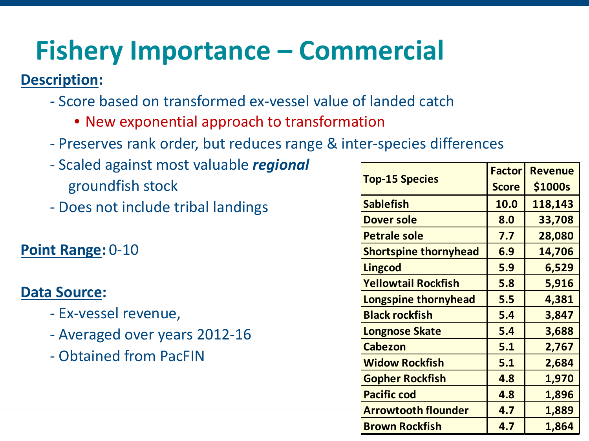## **Fishery Importance – Commercial**

#### **Description:**

- Score based on transformed ex-vessel value of landed catch
	- New exponential approach to transformation
- Preserves rank order, but reduces range & inter-species differences
- Scaled against most valuable *regional* groundfish stock
- Does not include tribal landings

#### **Point Range:** 0-10

- Ex-vessel revenue,
- Averaged over years 2012-16
- Obtained from PacFIN

| nal |                              |               |                |
|-----|------------------------------|---------------|----------------|
|     | <b>Top-15 Species</b>        | <b>Factor</b> | <b>Revenue</b> |
|     |                              | <b>Score</b>  | \$1000s        |
|     | <b>Sablefish</b>             | 10.0          | 118,143        |
|     | Dover sole                   | 8.0           | 33,708         |
|     | <b>Petrale sole</b>          | 7.7           | 28,080         |
|     | <b>Shortspine thornyhead</b> | 6.9           | 14,706         |
|     | <b>Lingcod</b>               | 5.9           | 6,529          |
|     | <b>Yellowtail Rockfish</b>   | 5.8           | 5,916          |
|     | Longspine thornyhead         | 5.5           | 4,381          |
|     | <b>Black rockfish</b>        | 5.4           | 3,847          |
|     | <b>Longnose Skate</b>        | 5.4           | 3,688          |
|     | <b>Cabezon</b>               | 5.1           | 2,767          |
|     | <b>Widow Rockfish</b>        | 5.1           | 2,684          |
|     | <b>Gopher Rockfish</b>       | 4.8           | 1,970          |
|     | <b>Pacific cod</b>           | 4.8           | 1,896          |
|     | <b>Arrowtooth flounder</b>   | 4.7           | 1,889          |
|     | <b>Brown Rockfish</b>        | 4.7           | 1,864          |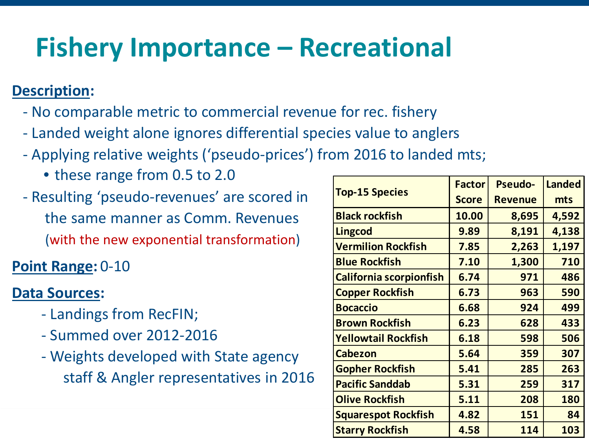### **Fishery Importance – Recreational**

#### **Description:**

- No comparable metric to commercial revenue for rec. fishery
- Landed weight alone ignores differential species value to anglers
- Applying relative weights ('pseudo-prices') from 2016 to landed mts;
	- these range from 0.5 to 2.0
- Resulting 'pseudo-revenues' are scored in the same manner as Comm. Revenues (with the new exponential transformation)

**Point Range:** 0-10

- Landings from RecFIN;
- Summed over 2012-2016
- Weights developed with State agency staff & Angler representatives in 2016

|                        |                            | <b>Factor</b> | <b>Pseudo-</b> | <b>Landed</b> |
|------------------------|----------------------------|---------------|----------------|---------------|
| d in                   | <b>Top-15 Species</b>      | <b>Score</b>  | <b>Revenue</b> | mts           |
| ΞŚ                     | <b>Black rockfish</b>      | 10.00         | 8,695          | 4,592         |
|                        | <b>Lingcod</b>             | 9.89          | 8,191          | 4,138         |
| n)                     | <b>Vermilion Rockfish</b>  | 7.85          | 2,263          | 1,197         |
|                        | <b>Blue Rockfish</b>       | 7.10          | 1,300          | 710           |
|                        | California scorpionfish    | 6.74          | 971            | 486           |
|                        | <b>Copper Rockfish</b>     | 6.73          | 963            | 590           |
|                        | <b>Bocaccio</b>            | 6.68          | 924            | 499           |
|                        | <b>Brown Rockfish</b>      | 6.23          | 628            | 433           |
|                        | Yellowtail Rockfish        | 6.18          | 598            | 506           |
| $\mathsf{C}\mathsf{V}$ | <b>Cabezon</b>             | 5.64          | 359            | 307           |
|                        | <b>Gopher Rockfish</b>     | 5.41          | 285            | 263           |
| 016                    | <b>Pacific Sanddab</b>     | 5.31          | 259            | 317           |
|                        | <b>Olive Rockfish</b>      | 5.11          | 208            | 180           |
|                        | <b>Squarespot Rockfish</b> | 4.82          | 151            | 84            |
|                        | <b>Starry Rockfish</b>     | 4.58          | 114            | 103           |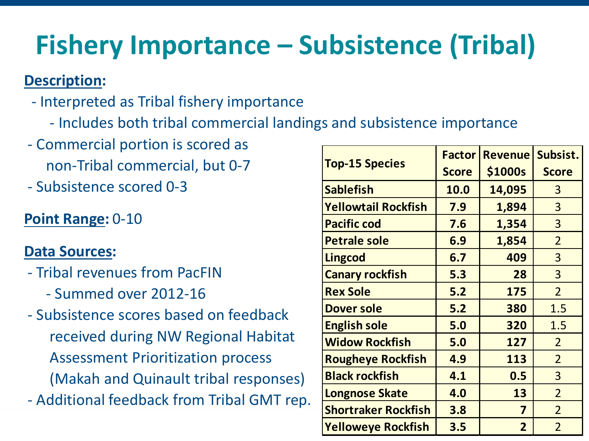## **Fishery Importance – Subsistence (Tribal)**

#### **Description:**

- Interpreted as Tribal fishery importance
	- Includes both tribal commercial landings and subsistence importance
- Commercial portion is scored as non-Tribal commercial, but 0-7
- Subsistence scored 0-3

### **Point Range:** 0-10

- Tribal revenues from PacFIN
	- Summed over 2012-16
- Subsistence scores based on feedback received during NW Regional Habitat Assessment Prioritization process (Makah and Quinault tribal responses) - Additional feedback from Tribal GMT rep.

|      |                            | <b>Factor</b> | <b>Revenue</b> | Subsist.       |
|------|----------------------------|---------------|----------------|----------------|
|      | <b>Top-15 Species</b>      | <b>Score</b>  | \$1000s        | <b>Score</b>   |
|      | <b>Sablefish</b>           | 10.0          | 14,095         | 3              |
|      | <b>Yellowtail Rockfish</b> | 7.9           | 1,894          | $\overline{3}$ |
|      | <b>Pacific cod</b>         | 7.6           | 1,354          | 3              |
|      | <b>Petrale sole</b>        | 6.9           | 1,854          | $\overline{2}$ |
|      | <b>Lingcod</b>             | 6.7           | 409            | $\overline{3}$ |
|      | <b>Canary rockfish</b>     | 5.3           | 28             | 3              |
|      | <b>Rex Sole</b>            | 5.2           | 175            | $\overline{2}$ |
|      | <b>Dover sole</b>          | 5.2           | 380            | 1.5            |
|      | <b>English sole</b>        | 5.0           | 320            | 1.5            |
| ıt   | <b>Widow Rockfish</b>      | 5.0           | 127            | $\overline{2}$ |
|      | <b>Rougheye Rockfish</b>   | 4.9           | 113            | $\overline{2}$ |
| es)  | <b>Black rockfish</b>      | 4.1           | 0.5            | $\overline{3}$ |
| rep. | <b>Longnose Skate</b>      | 4.0           | 13             | $\overline{2}$ |
|      | <b>Shortraker Rockfish</b> | 3.8           | $\overline{7}$ | $\overline{2}$ |
|      | <b>Yelloweye Rockfish</b>  | 3.5           | $\overline{2}$ | $\overline{2}$ |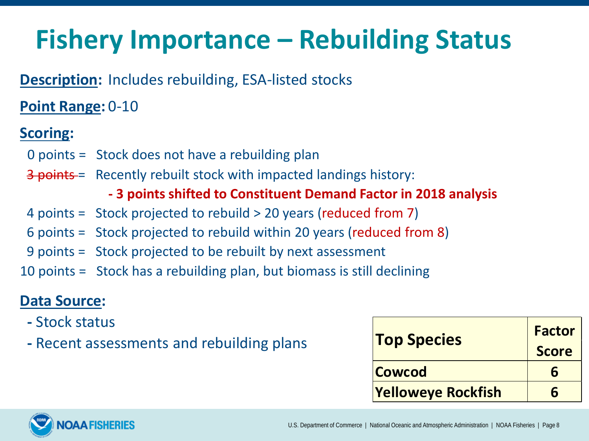### **Fishery Importance – Rebuilding Status**

#### **Description:** Includes rebuilding, ESA-listed stocks

#### **Point Range:** 0-10

#### **Scoring:**

- 0 points = Stock does not have a rebuilding plan
- 3 points = Recently rebuilt stock with impacted landings history:

#### **- 3 points shifted to Constituent Demand Factor in 2018 analysis**

- 4 points = Stock projected to rebuild > 20 years (reduced from 7)
- 6 points = Stock projected to rebuild within 20 years (reduced from 8)
- 9 points = Stock projected to be rebuilt by next assessment
- 10 points = Stock has a rebuilding plan, but biomass is still declining

- **-** Stock status
- **-** Recent assessments and rebuilding plans

| <b>Top Species</b>        | <b>Factor</b> |
|---------------------------|---------------|
|                           | <b>Score</b>  |
| <b>Cowcod</b>             |               |
| <b>Yelloweye Rockfish</b> |               |

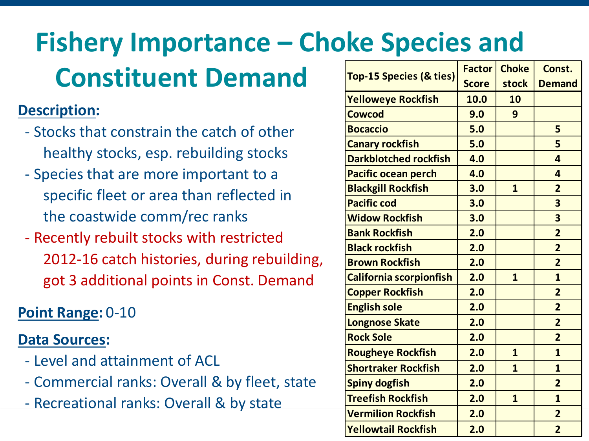# **Fishery Importance – Choke Species and**

### **Constituent Demand**

#### **Description:**

- Stocks that constrain the catch of other healthy stocks, esp. rebuilding stocks
- Species that are more important to a specific fleet or area than reflected in the coastwide comm/rec ranks
- Recently rebuilt stocks with restricted 2012-16 catch histories, during rebuilding, got 3 additional points in Const. Demand

### **Point Range:** 0-10

- Level and attainment of ACL
- Commercial ranks: Overall & by fleet, state
- Recreational ranks: Overall & by state

|        |                                    | <b>Factor</b> | <b>Choke</b>            | Const.                  |
|--------|------------------------------------|---------------|-------------------------|-------------------------|
|        | <b>Top-15 Species (&amp; ties)</b> | <b>Score</b>  | stock                   | <b>Demand</b>           |
|        | <b>Yelloweye Rockfish</b>          | 10.0          | 10                      |                         |
|        | <b>Cowcod</b>                      | 9.0           | 9                       |                         |
| r      | <b>Bocaccio</b>                    | 5.0           |                         | 5                       |
|        | <b>Canary rockfish</b>             | 5.0           |                         | 5                       |
|        | <b>Darkblotched rockfish</b>       | 4.0           |                         | $\overline{4}$          |
|        | Pacific ocean perch                | 4.0           |                         | 4                       |
|        | <b>Blackgill Rockfish</b>          | 3.0           | $\mathbf{1}$            | $\overline{2}$          |
|        | <b>Pacific cod</b>                 | 3.0           |                         | $\overline{\mathbf{3}}$ |
|        | <b>Widow Rockfish</b>              | 3.0           |                         | $\overline{\mathbf{3}}$ |
|        | <b>Bank Rockfish</b>               | 2.0           |                         | $\overline{2}$          |
|        | <b>Black rockfish</b>              | 2.0           |                         | $\overline{2}$          |
| lding, | <b>Brown Rockfish</b>              | 2.0           |                         | $\overline{2}$          |
| and    | California scorpionfish            | 2.0           | $\mathbf{1}$            | $\overline{\mathbf{1}}$ |
|        | <b>Copper Rockfish</b>             | 2.0           |                         | $\overline{2}$          |
|        | <b>English sole</b>                | 2.0           |                         | $\overline{2}$          |
|        | <b>Longnose Skate</b>              | 2.0           |                         | $\overline{2}$          |
|        | <b>Rock Sole</b>                   | 2.0           |                         | $\overline{2}$          |
|        | <b>Rougheye Rockfish</b>           | 2.0           | $\mathbf{1}$            | $\mathbf{1}$            |
|        | <b>Shortraker Rockfish</b>         | 2.0           | $\overline{\mathbf{1}}$ | $\mathbf{1}$            |
| state  | <b>Spiny dogfish</b>               | 2.0           |                         | $\overline{2}$          |
|        | <b>Treefish Rockfish</b>           | 2.0           | $\mathbf{1}$            | $\mathbf{1}$            |
|        | <b>Vermilion Rockfish</b>          | 2.0           |                         | $\overline{2}$          |
|        | <b>Yellowtail Rockfish</b>         | 2.0           |                         | $\overline{2}$          |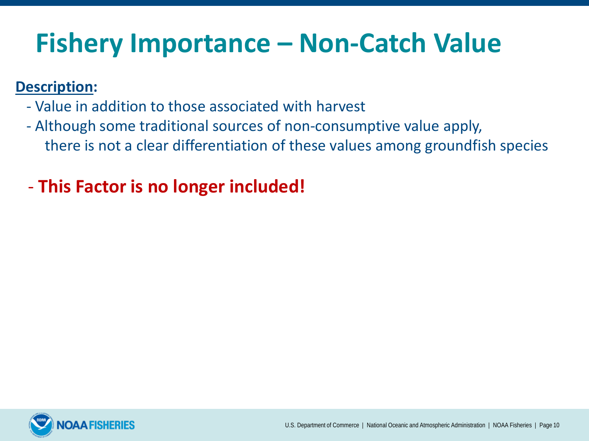### **Fishery Importance – Non-Catch Value**

#### **Description:**

- Value in addition to those associated with harvest
- Although some traditional sources of non-consumptive value apply, there is not a clear differentiation of these values among groundfish species

### - **This Factor is no longer included!**

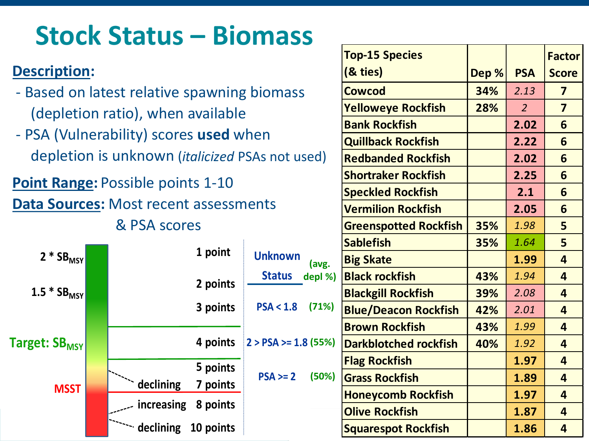### **Stock Status – Biomass**

- Based on latest relative spawning biomass (depletion ratio), when available
- PSA (Vulnerability) scores **used** when depletion is unknown (*italicized* PSAs not used)

**Point Range:** Possible points 1-10

**Data Sources:** Most recent assessments

& PSA scores



|                | <b>Top-15 Species</b>        |       |                | <b>Factor</b>           |
|----------------|------------------------------|-------|----------------|-------------------------|
|                | (& ties)                     | Dep % | <b>PSA</b>     | <b>Score</b>            |
| ass            | <b>Cowcod</b>                | 34%   | 2.13           | $\overline{\mathbf{z}}$ |
|                | <b>Yelloweye Rockfish</b>    | 28%   | $\overline{2}$ | $\overline{\mathbf{z}}$ |
|                | <b>Bank Rockfish</b>         |       | 2.02           | 6                       |
|                | <b>Quillback Rockfish</b>    |       | 2.22           | 6                       |
| t used)        | <b>Redbanded Rockfish</b>    |       | 2.02           | 6                       |
|                | <b>Shortraker Rockfish</b>   |       | 2.25           | 6                       |
|                | <b>Speckled Rockfish</b>     |       | 2.1            | 6                       |
|                | <b>Vermilion Rockfish</b>    |       | 2.05           | 6                       |
|                | <b>Greenspotted Rockfish</b> | 35%   | 1.98           | 5                       |
|                | <b>Sablefish</b>             | 35%   | 1.64           | 5                       |
| wn<br>(avg.    | <b>Big Skate</b>             |       | 1.99           | $\overline{4}$          |
| depl %)<br>IS. | <b>Black rockfish</b>        | 43%   | 1.94           | $\overline{4}$          |
|                | <b>Blackgill Rockfish</b>    | 39%   | 2.08           | $\overline{\mathbf{4}}$ |
| 1.8<br>(71%)   | <b>Blue/Deacon Rockfish</b>  | 42%   | 2.01           | $\overline{\mathbf{4}}$ |
|                | <b>Brown Rockfish</b>        | 43%   | 1.99           | $\overline{4}$          |
| $= 1.8(55%)$   | <b>Darkblotched rockfish</b> | 40%   | 1.92           | $\overline{4}$          |
|                | <b>Flag Rockfish</b>         |       | 1.97           | $\overline{4}$          |
| (50%)<br>$= 2$ | <b>Grass Rockfish</b>        |       | 1.89           | $\overline{\mathbf{4}}$ |
|                | <b>Honeycomb Rockfish</b>    |       | 1.97           | $\overline{4}$          |
|                | <b>Olive Rockfish</b>        |       | 1.87           | $\overline{4}$          |
|                | <b>Squarespot Rockfish</b>   |       | 1.86           | $\overline{4}$          |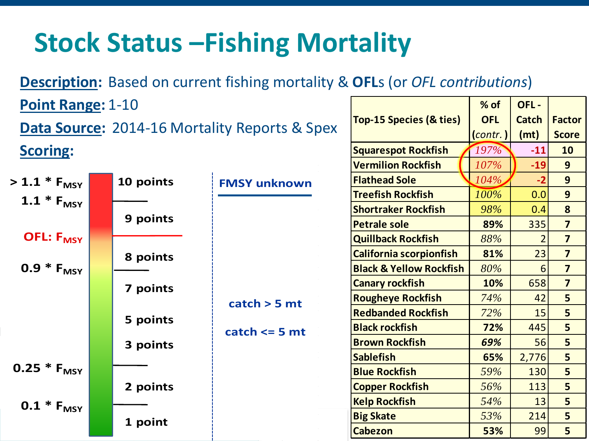### **Stock Status –Fishing Mortality**

**Description:** Based on current fishing mortality & **OFL**s (or *OFL contributions*)

**Top-15 Species (& ties)**

**% of OFL (***contr.* **)**

**Squarespot Rockfish** *197%* **-11 10**

**OFL - Catch (mt)**

**Factor Score**

**Point Range:** 1-10 **Data Source:** 2014-16 Mortality Reports & Spex **Scoring:**

|                             |           |                     | <b>Vermilion Rockfish</b>          | 107%                     | $-19$ | 9                       |
|-----------------------------|-----------|---------------------|------------------------------------|--------------------------|-------|-------------------------|
| $> 1.1 * F_{MSY}$           | 10 points | <b>FMSY unknown</b> | <b>Flathead Sole</b>               | 104%                     | $-2$  | 9                       |
|                             |           |                     | <b>Treefish Rockfish</b>           | 100%                     | 0.0   | 9                       |
| $1.1 * F_{MSY}$             |           |                     | <b>Shortraker Rockfish</b>         | 98%                      | 0.4   | 8                       |
|                             | 9 points  |                     | <b>Petrale sole</b>                | 89%                      | 335   | $\overline{\mathbf{z}}$ |
| <b>OFL: F<sub>MSY</sub></b> |           |                     | <b>Quillback Rockfish</b>          | 88%                      |       | $\overline{\mathbf{z}}$ |
|                             | 8 points  |                     | <b>California scorpionfish</b>     | 81%                      | 23    | $\overline{\mathbf{z}}$ |
| $0.9 * F_{MSY}$             |           | catch > 5 mt        | <b>Black &amp; Yellow Rockfish</b> | 80%                      | 6     | $\overline{\mathbf{z}}$ |
|                             | 7 points  |                     | <b>Canary rockfish</b>             | 10%                      | 658   | $\overline{\mathbf{z}}$ |
|                             |           |                     |                                    | <b>Rougheye Rockfish</b> | 74%   | 42                      |
|                             |           |                     | <b>Redbanded Rockfish</b>          | 72%                      | 15    | 5                       |
|                             | 5 points  | catch $\leq$ 5 mt   | <b>Black rockfish</b>              | 72%                      | 445   | 5                       |
|                             | 3 points  |                     | <b>Brown Rockfish</b>              | 69%                      | 56    | 5                       |
|                             |           |                     | <b>Sablefish</b>                   | 65%                      | 2,776 | 5                       |
| 0.25 $*$ $F_{MSY}$          |           |                     | <b>Blue Rockfish</b>               | 59%                      | 130   | 5                       |
|                             | 2 points  |                     | <b>Copper Rockfish</b>             | 56%                      | 113   | 5                       |
| $0.1 * F_{MSY}$             |           |                     | <b>Kelp Rockfish</b>               | 54%                      | 13    | 5                       |
|                             | 1 point   |                     | <b>Big Skate</b>                   | 53%                      | 214   | 5                       |
|                             |           |                     | <b>Cabezon</b>                     | 53%                      | 99    | 5                       |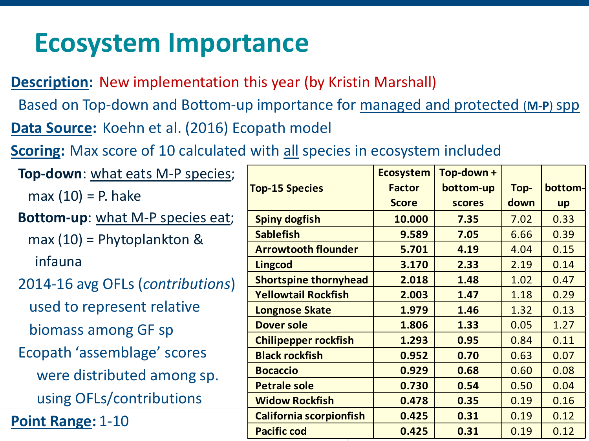### **Ecosystem Importance**

**Description:** New implementation this year (by Kristin Marshall)

Based on Top-down and Bottom-up importance for managed and protected (**M-P**) spp

- **Data Source:** Koehn et al. (2016) Ecopath model
- **Scoring:** Max score of 10 calculated with all species in ecosystem included

| <b>Top-down:</b> what eats M-P species; |                              | <b>Ecosystem</b> | Top-down +    |      |         |
|-----------------------------------------|------------------------------|------------------|---------------|------|---------|
| $max(10) = P.$ hake                     | <b>Top-15 Species</b>        | <b>Factor</b>    | bottom-up     | Top- | bottom- |
|                                         |                              | <b>Score</b>     | <b>scores</b> | down | up      |
| <b>Bottom-up:</b> what M-P species eat; | <b>Spiny dogfish</b>         | 10.000           | 7.35          | 7.02 | 0.33    |
| $max(10)$ = Phytoplankton &             | <b>Sablefish</b>             | 9.589            | 7.05          | 6.66 | 0.39    |
|                                         | <b>Arrowtooth flounder</b>   | 5.701            | 4.19          | 4.04 | 0.15    |
| infauna                                 | <b>Lingcod</b>               | 3.170            | 2.33          | 2.19 | 0.14    |
| 2014-16 avg OFLs (contributions)        | <b>Shortspine thornyhead</b> | 2.018            | 1.48          | 1.02 | 0.47    |
|                                         | <b>Yellowtail Rockfish</b>   | 2.003            | 1.47          | 1.18 | 0.29    |
| used to represent relative              | <b>Longnose Skate</b>        | 1.979            | 1.46          | 1.32 | 0.13    |
| biomass among GF sp                     | <b>Dover sole</b>            | 1.806            | 1.33          | 0.05 | 1.27    |
|                                         | <b>Chilipepper rockfish</b>  | 1.293            | 0.95          | 0.84 | 0.11    |
| Ecopath 'assemblage' scores             | <b>Black rockfish</b>        | 0.952            | 0.70          | 0.63 | 0.07    |
| were distributed among sp.              | <b>Bocaccio</b>              | 0.929            | 0.68          | 0.60 | 0.08    |
|                                         | <b>Petrale sole</b>          | 0.730            | 0.54          | 0.50 | 0.04    |
| using OFLs/contributions                | <b>Widow Rockfish</b>        | 0.478            | 0.35          | 0.19 | 0.16    |
| Point Range: 1-10                       | California scorpionfish      | 0.425            | 0.31          | 0.19 | 0.12    |
|                                         | <b>Pacific cod</b>           | 0.425            | 0.31          | 0.19 | 0.12    |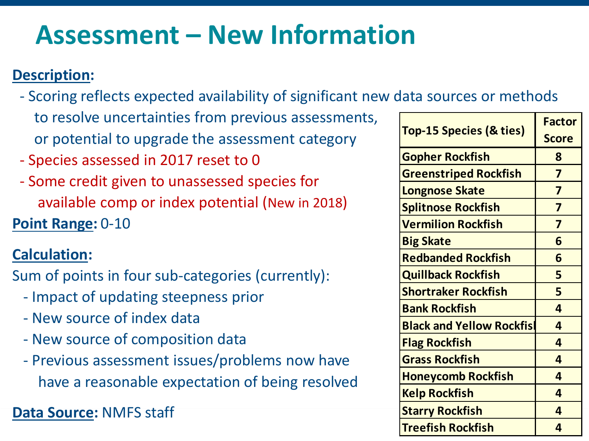### **Assessment – New Information**

#### **Description:**

- Scoring reflects expected availability of significant new data sources or methods to resolve uncertainties from previous assessments, or potential to upgrade the assessment category
- Species assessed in 2017 reset to 0
- Some credit given to unassessed species for available comp or index potential (New in 2018)

**Point Range:** 0-10

#### **Calculation:**

Sum of points in four sub-categories (currently):

- Impact of updating steepness prior
- New source of index data
- New source of composition data
- Previous assessment issues/problems now have have a reasonable expectation of being resolved

**Data Source:** NMFS staff

| ; assessments, |                                    | <b>Factor</b>           |
|----------------|------------------------------------|-------------------------|
| nt category    | <b>Top-15 Species (&amp; ties)</b> | <b>Score</b>            |
|                | <b>Gopher Rockfish</b>             | 8                       |
| es for         | <b>Greenstriped Rockfish</b>       | $\overline{\mathbf{z}}$ |
|                | <b>Longnose Skate</b>              | $\overline{\mathbf{z}}$ |
| w in 2018)     | <b>Splitnose Rockfish</b>          | $\overline{\mathbf{z}}$ |
|                | <b>Vermilion Rockfish</b>          | $\overline{\mathbf{z}}$ |
|                | <b>Big Skate</b>                   | 6                       |
|                | <b>Redbanded Rockfish</b>          | 6                       |
| ently):        | <b>Quillback Rockfish</b>          | 5                       |
|                | <b>Shortraker Rockfish</b>         | 5                       |
|                | <b>Bank Rockfish</b>               | 4                       |
|                | <b>Black and Yellow Rockfisl</b>   | 4                       |
|                | <b>Flag Rockfish</b>               | 4                       |
| now have       | <b>Grass Rockfish</b>              | 4                       |
| ng resolved    | <b>Honeycomb Rockfish</b>          | 4                       |
|                | <b>Kelp Rockfish</b>               | $\overline{a}$          |
|                | <b>Starry Rockfish</b>             | $\overline{4}$          |
|                | <b>Treefish Rockfish</b>           | 4                       |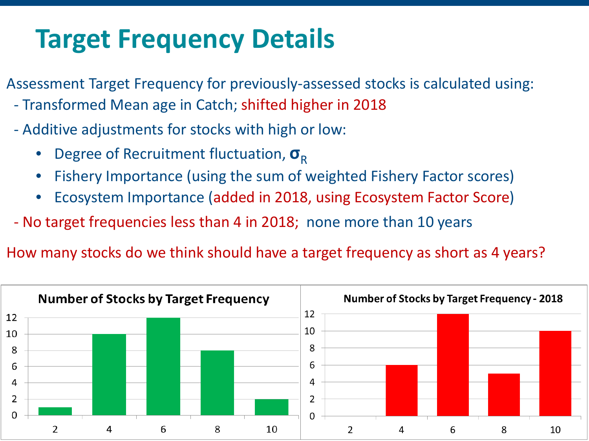### **Target Frequency Details**

Assessment Target Frequency for previously-assessed stocks is calculated using:

- Transformed Mean age in Catch; shifted higher in 2018
- Additive adjustments for stocks with high or low:
	- **Degree of Recruitment fluctuation,**  $σ_R$
	- Fishery Importance (using the sum of weighted Fishery Factor scores)
	- Ecosystem Importance (added in 2018, using Ecosystem Factor Score)
- No target frequencies less than 4 in 2018; none more than 10 years

How many stocks do we think should have a target frequency as short as 4 years?

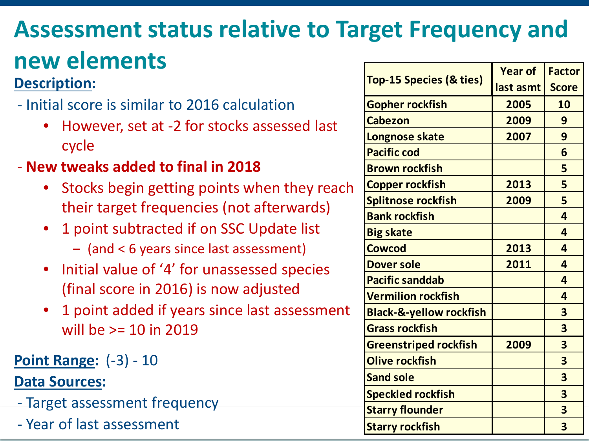# **Assessment status relative to Target Frequency and**

### **new elements**

#### **Description:**

- Initial score is similar to 2016 calculation
	- However, set at -2 for stocks assessed last cycle
- **New tweaks added to final in 2018**
	- Stocks begin getting points when they reach their target frequencies (not afterwards)
	- 1 point subtracted if on SSC Update list
		- ‒ (and < 6 years since last assessment)
	- Initial value of '4' for unassessed species (final score in 2016) is now adjusted
	- 1 point added if years since last assessment will be >= 10 in 2019

### **Point Range:** (-3) - 10

- Target assessment frequency
- Year of last assessment

|                                    | <b>Year of</b> | <b>Factor</b>           |  |
|------------------------------------|----------------|-------------------------|--|
| <b>Top-15 Species (&amp; ties)</b> | last asmt      | <b>Score</b>            |  |
| <b>Gopher rockfish</b>             | 2005           | 10                      |  |
| <b>Cabezon</b>                     | 2009           | 9                       |  |
| <b>Longnose skate</b>              | 2007           | 9                       |  |
| <b>Pacific cod</b>                 |                | 6                       |  |
| <b>Brown rockfish</b>              |                | 5                       |  |
| <b>Copper rockfish</b>             | 2013           | 5                       |  |
| <b>Splitnose rockfish</b>          | 2009           | 5                       |  |
| <b>Bank rockfish</b>               |                | $\overline{a}$          |  |
| <b>Big skate</b>                   |                | $\overline{a}$          |  |
| <b>Cowcod</b>                      | 2013           | $\overline{\mathbf{4}}$ |  |
| <b>Dover sole</b>                  | 2011           | $\overline{\mathbf{a}}$ |  |
| <b>Pacific sanddab</b>             |                | $\overline{4}$          |  |
| <b>Vermilion rockfish</b>          |                | 4                       |  |
| <b>Black-&amp;-yellow rockfish</b> |                | 3                       |  |
| <b>Grass rockfish</b>              |                | 3                       |  |
| <b>Greenstriped rockfish</b>       | 2009           | 3                       |  |
| <b>Olive rockfish</b>              |                | 3                       |  |
| <b>Sand sole</b>                   |                | 3                       |  |
| <b>Speckled rockfish</b>           |                | 3                       |  |
| <b>Starry flounder</b>             |                | 3                       |  |
| <b>Starry rockfish</b>             |                | 3                       |  |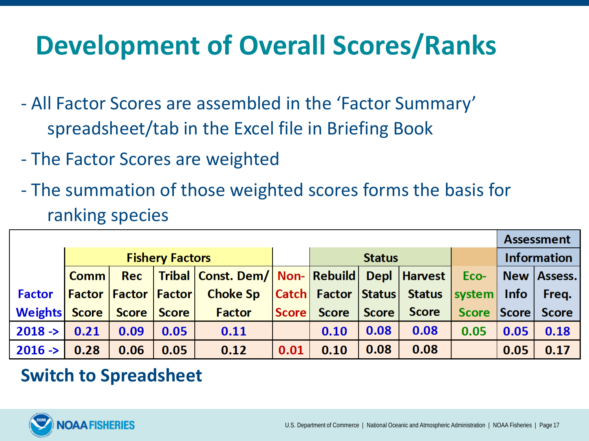### **Development of Overall Scores/Ranks**

- All Factor Scores are assembled in the 'Factor Summary' spreadsheet/tab in the Excel file in Briefing Book
- The Factor Scores are weighted
- The summation of those weighted scores forms the basis for ranking species

|                      |                                   |              |              |                                                        |              |              |               |                                |         |                    | <b>Assessment</b> |  |
|----------------------|-----------------------------------|--------------|--------------|--------------------------------------------------------|--------------|--------------|---------------|--------------------------------|---------|--------------------|-------------------|--|
|                      | <b>Fishery Factors</b>            |              |              |                                                        |              |              | <b>Status</b> |                                |         | <b>Information</b> |                   |  |
|                      | Comm                              | Rec          |              | Tribal   Const. Dem/   Non-   Rebuild   Depl   Harvest |              |              |               |                                | Eco-    |                    | New   Assess.     |  |
| <b>Factor</b>        | <b>Factor   Factor   Factor  </b> |              |              | <b>Choke Sp</b>                                        |              |              |               | Catch  Factor   Status  Status | system  | <b>Info</b>        | Freq.             |  |
| <b>Weights Score</b> |                                   | <b>Score</b> | <b>Score</b> | <b>Factor</b>                                          | <b>Score</b> | <b>Score</b> | <b>Score</b>  | <b>Score</b>                   | Score / | <b>Score</b>       | <b>Score</b>      |  |
| $2018 - >$           | 0.21                              | 0.09         | 0.05         | 0.11                                                   |              | 0.10         | 0.08          | 0.08                           | 0.05    | 0.05               | 0.18              |  |
| $2016 - >$           | 0.28                              | 0.06         | 0.05         | 0.12                                                   | 0.01         | 0.10         | 0.08          | 0.08                           |         | 0.05               | 0.17              |  |

### **Switch to Spreadsheet**

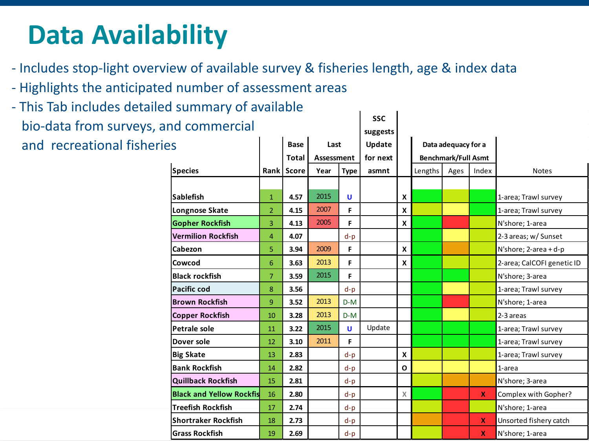### **Data Availability**

- Includes stop-light overview of available survey & fisheries length, age & index data
- Highlights the anticipated number of assessment areas
- **SSC suggests** - This Tab includes detailed summary of available bio-data from surveys, and commercial and recreational fisheries

| .                               |                |              |            | suggests    |          |                            |                     |  |                    |                            |
|---------------------------------|----------------|--------------|------------|-------------|----------|----------------------------|---------------------|--|--------------------|----------------------------|
| es                              |                | <b>Base</b>  | Last       |             | Update   |                            | Data adequacy for a |  |                    |                            |
|                                 |                | <b>Total</b> | Assessment |             | for next | <b>Benchmark/Full Asmt</b> |                     |  |                    |                            |
| <b>Species</b>                  |                | Rank Score   | Year       | <b>Type</b> | asmnt    |                            | Ages<br>Lengths     |  | Index              | <b>Notes</b>               |
|                                 |                |              |            |             |          |                            |                     |  |                    |                            |
| <b>Sablefish</b>                | $\mathbf{1}$   | 4.57         | 2015       | U           |          | $\mathsf{x}$               |                     |  |                    | 1-area; Trawl survey       |
| Longnose Skate                  | $\overline{2}$ | 4.15         | 2007       | F           |          | X                          |                     |  |                    | 1-area; Trawl survey       |
| <b>Gopher Rockfish</b>          | 3              | 4.13         | 2005       | F           |          | X                          |                     |  |                    | N'shore; 1-area            |
| <b>Vermilion Rockfish</b>       | 4              | 4.07         |            | $d-p$       |          |                            |                     |  |                    | 2-3 areas; w/ Sunset       |
| Cabezon                         | 5              | 3.94         | 2009       | F           |          | $\mathsf{x}$               |                     |  |                    | N'shore; $2$ -area + d-p   |
| <b>Cowcod</b>                   | 6              | 3.63         | 2013       | F           |          | $\boldsymbol{x}$           |                     |  |                    | 2-area; CalCOFI genetic ID |
| <b>Black rockfish</b>           | 7              | 3.59         | 2015       | F           |          |                            |                     |  |                    | N'shore; 3-area            |
| <b>Pacific cod</b>              | 8              | 3.56         |            | $d-p$       |          |                            |                     |  |                    | 1-area; Trawl survey       |
| <b>Brown Rockfish</b>           | 9              | 3.52         | 2013       | $D-M$       |          |                            |                     |  |                    | N'shore; 1-area            |
| <b>Copper Rockfish</b>          | 10             | 3.28         | 2013       | $D-M$       |          |                            |                     |  |                    | 2-3 areas                  |
| Petrale sole                    | 11             | 3.22         | 2015       | U           | Update   |                            |                     |  |                    | 1-area; Trawl survey       |
| Dover sole                      | 12             | 3.10         | 2011       | F           |          |                            |                     |  |                    | 1-area; Trawl survey       |
| <b>Big Skate</b>                | 13             | 2.83         |            | $d-p$       |          | $\mathsf{x}$               |                     |  |                    | 1-area; Trawl survey       |
| <b>Bank Rockfish</b>            | 14             | 2.82         |            | $d-p$       |          | 0                          |                     |  |                    | 1-area                     |
| <b>Quillback Rockfish</b>       | 15             | 2.81         |            | $d-p$       |          |                            |                     |  |                    | N'shore; 3-area            |
| <b>Black and Yellow Rockfis</b> | 16             | 2.80         |            | $d-p$       |          | X                          |                     |  | $\mathbf{x}$       | Complex with Gopher?       |
| Treefish Rockfish               | 17             | 2.74         |            | $d-p$       |          |                            |                     |  |                    | N'shore; 1-area            |
| Shortraker Rockfish             | 18             | 2.73         |            | $d-p$       |          |                            |                     |  | $\pmb{\mathsf{X}}$ | Unsorted fishery catch     |
| <b>Grass Rockfish</b>           | 19             | 2.69         |            | $d-p$       |          |                            |                     |  | $\mathbf{x}$       | N'shore; 1-area            |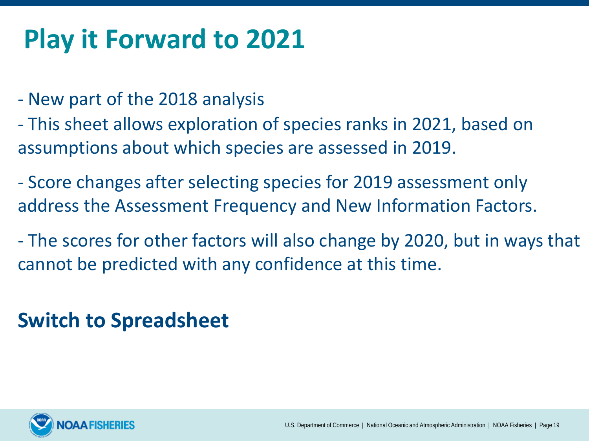### **Play it Forward to 2021**

- New part of the 2018 analysis
- This sheet allows exploration of species ranks in 2021, based on assumptions about which species are assessed in 2019.
- Score changes after selecting species for 2019 assessment only address the Assessment Frequency and New Information Factors.
- The scores for other factors will also change by 2020, but in ways that cannot be predicted with any confidence at this time.

### **Switch to Spreadsheet**

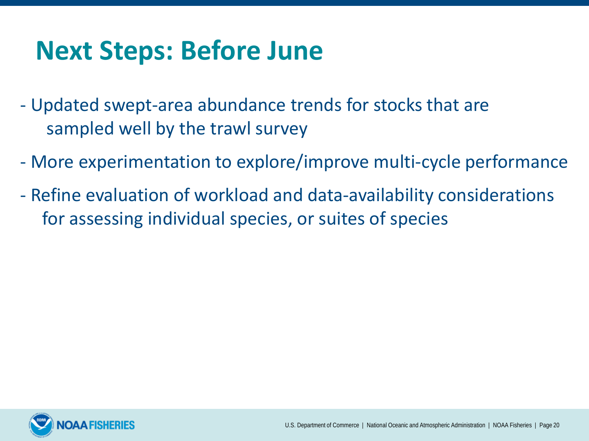### **Next Steps: Before June**

- Updated swept-area abundance trends for stocks that are sampled well by the trawl survey
- More experimentation to explore/improve multi-cycle performance
- Refine evaluation of workload and data-availability considerations for assessing individual species, or suites of species